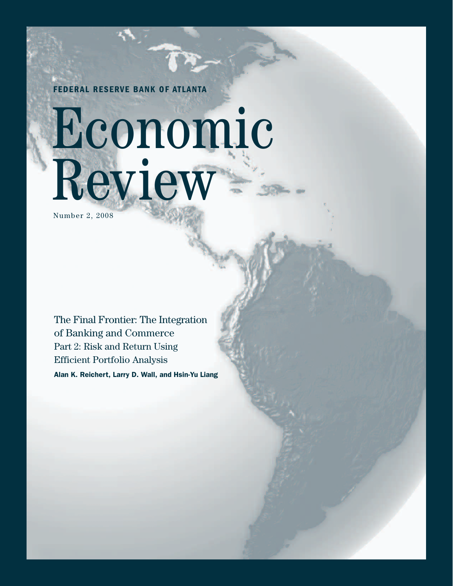**FEDERAL RESERVE BANK OF ATLANTA**

# Economic Review

Number 2, 2008

The Final Frontier: The Integration of Banking and Commerce Part 2: Risk and Return Using Efficient Portfolio Analysis **Alan K. Reichert, Larry D. Wall, and Hsin-Yu Liang**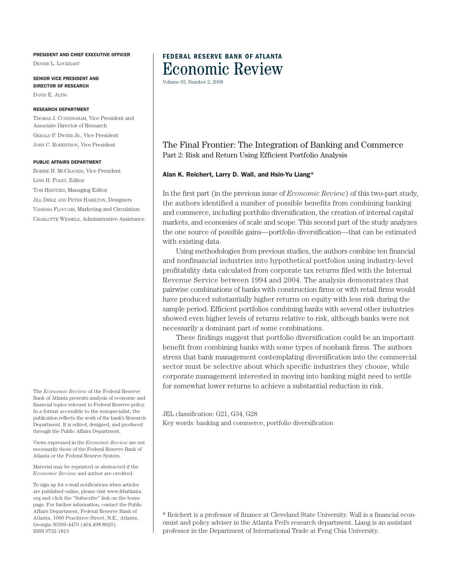#### **PRESIDENT AND CHIEF EXECUTIVE OFFICER**

DENNIS L. LOCKHART

**SENIOR VICE PRESIDENT AND DIRECTOR OF RESEARCH** DAVID E. ALTIG

#### **RESEARCH DEPARTMENT**

THOMAS J. CUNNINGHAM, Vice President and Associate Director of Research GERALD P. DWYER JR., Vice President JOHN C. ROBERTSON, Vice President

#### **PUBLIC AFFAIRS DEPARTMENT**

BOBBIE H. MCCRACKIN, Vice President LYNN H. FOLEY, Editor TOM HEINTJES, Managing Editor JILL DIBLE AND PETER HAMILTON, Designers VANESSA FLOCCARI, Marketing and Circulation CHARLOTTE WESSELS, Administrative Assistance

The *Economic Review* of the Federal Reserve Bank of Atlanta presents analysis of economic and financial topics relevant to Federal Reserve policy. In a format accessible to the nonspecialist, the publication reflects the work of the bank's Research Department. It is edited, designed, and produced through the Public Affairs Department.

Views expressed in the *Economic Review* are not necessarily those of the Federal Reserve Bank of Atlanta or the Federal Reserve System.

Material may be reprinted or abstracted if the *Economic Review* and author are credited.

To sign up for e-mail notifications when articles are published online, please visit www.frbatlanta. org and click the "Subscribe" link on the home page. For further information, contact the Public Affairs Department, Federal Reserve Bank of Atlanta, 1000 Peachtree Street, N.E., Atlanta, Georgia 30309-4470 (404.498.8020). ISSN 0732-1813

### **FEDERAL RESERVE BANK OF ATLANTA** Economic Review

Volume 93, Number 2, 2008

#### The Final Frontier: The Integration of Banking and Commerce Part 2: Risk and Return Using Efficient Portfolio Analysis

#### **Alan K. Reichert, Larry D. Wall, and Hsin-Yu Liang\***

In the first part (in the previous issue of *Economic Review*) of this two-part study, the authors identified a number of possible benefits from combining banking and commerce, including portfolio diversification, the creation of internal capital markets, and economies of scale and scope. This second part of the study analyzes the one source of possible gains—portfolio diversification—that can be estimated with existing data.

Using methodologies from previous studies, the authors combine ten financial and nonfinancial industries into hypothetical portfolios using industry-level profitability data calculated from corporate tax returns filed with the Internal Revenue Service between 1994 and 2004. The analysis demonstrates that pairwise combinations of banks with construction firms or with retail firms would have produced substantially higher returns on equity with less risk during the sample period. Efficient portfolios combining banks with several other industries showed even higher levels of returns relative to risk, although banks were not necessarily a dominant part of some combinations.

These findings suggest that portfolio diversification could be an important benefit from combining banks with some types of nonbank firms. The authors stress that bank management contemplating diversification into the commercial sector must be selective about which specific industries they choose, while corporate management interested in moving into banking might need to settle for somewhat lower returns to achieve a substantial reduction in risk.

JEL classification: G21, G34, G28 Key words: banking and commerce, portfolio diversification

\* Reichert is a professor of finance at Cleveland State University. Wall is a financial economist and policy adviser in the Atlanta Fed's research department. Liang is an assistant professor in the Department of International Trade at Feng Chia University.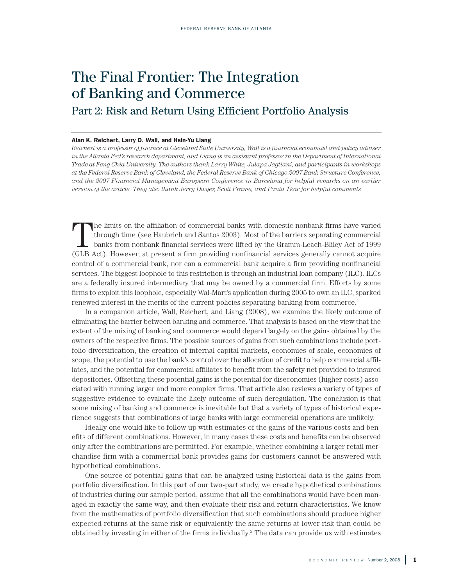## The Final Frontier: The Integration of Banking and Commerce

Part 2: Risk and Return Using Efficient Portfolio Analysis

#### **Alan K. Reichert, Larry D. Wall, and Hsin-Yu Liang**

Reichert is a professor of finance at Cleveland State University, Wall is a financial economist and policy adviser in the Atlanta Fed's research department, and Liang is an assistant professor in the Department of International *Trade at Feng Chia University. The authors thank Larry White, Julapa Jagtiani, and participants in workshops* at the Federal Reserve Bank of Cleveland, the Federal Reserve Bank of Chicago 2007 Bank Structure Conference, *and the 2007 Financial Management European Conference in Barcelona for helpful remarks on an earlier version of the article. They also thank Jerry Dwyer, Scott Frame, and Paula Tkac for helpful comments.*

The limits on the affiliation of commercial banks with domestic nonbank firms have varied<br>through time (see Haubrich and Santos 2003). Most of the barriers separating commercial<br>banks from nonbank financial services were l through time (see Haubrich and Santos 2003). Most of the barriers separating commercial (GLB Act). However, at present a firm providing nonfinancial services generally cannot acquire control of a commercial bank, nor can a commercial bank acquire a firm providing nonfinancial services. The biggest loophole to this restriction is through an industrial loan company (ILC). ILCs are a federally insured intermediary that may be owned by a commercial firm. Efforts by some firms to exploit this loophole, especially Wal-Mart's application during 2005 to own an ILC, sparked renewed interest in the merits of the current policies separating banking from commerce. 1

In a companion article, Wall, Reichert, and Liang (2008), we examine the likely outcome of eliminating the barrier between banking and commerce. That analysis is based on the view that the extent of the mixing of banking and commerce would depend largely on the gains obtained by the owners of the respective firms. The possible sources of gains from such combinations include portfolio diversification, the creation of internal capital markets, economies of scale, economies of scope, the potential to use the bank's control over the allocation of credit to help commercial affiliates, and the potential for commercial affiliates to benefit from the safety net provided to insured depositories. Offsetting these potential gains is the potential for diseconomies (higher costs) associated with running larger and more complex firms. That article also reviews a variety of types of suggestive evidence to evaluate the likely outcome of such deregulation. The conclusion is that some mixing of banking and commerce is inevitable but that a variety of types of historical experience suggests that combinations of large banks with large commercial operations are unlikely.

Ideally one would like to follow up with estimates of the gains of the various costs and benefits of different combinations. However, in many cases these costs and benefits can be observed only after the combinations are permitted. For example, whether combining a larger retail merchandise firm with a commercial bank provides gains for customers cannot be answered with hypothetical combinations.

One source of potential gains that can be analyzed using historical data is the gains from portfolio diversification. In this part of our two-part study, we create hypothetical combinations of industries during our sample period, assume that all the combinations would have been managed in exactly the same way, and then evaluate their risk and return characteristics. We know from the mathematics of portfolio diversification that such combinations should produce higher expected returns at the same risk or equivalently the same returns at lower risk than could be obtained by investing in either of the firms individually. <sup>2</sup> The data can provide us with estimates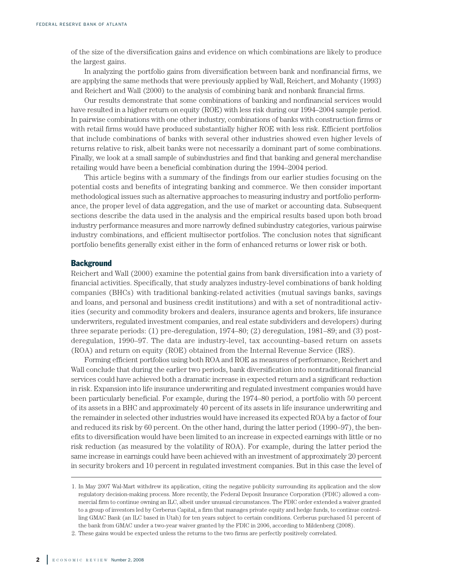of the size of the diversification gains and evidence on which combinations are likely to produce the largest gains.

In analyzing the portfolio gains from diversification between bank and nonfinancial firms, we are applying the same methods that were previously applied by Wall, Reichert, and Mohanty (1993) and Reichert and Wall (2000) to the analysis of combining bank and nonbank financial firms.

Our results demonstrate that some combinations of banking and nonfinancial services would have resulted in a higher return on equity (ROE) with less risk during our 1994–2004 sample period. In pairwise combinations with one other industry, combinations of banks with construction firms or with retail firms would have produced substantially higher ROE with less risk. Efficient portfolios that include combinations of banks with several other industries showed even higher levels of returns relative to risk, albeit banks were not necessarily a dominant part of some combinations. Finally, we look at a small sample of subindustries and find that banking and general merchandise retailing would have been a beneficial combination during the 1994–2004 period.

This article begins with a summary of the findings from our earlier studies focusing on the potential costs and benefits of integrating banking and commerce. We then consider important methodological issues such as alternative approaches to measuring industry and portfolio performance, the proper level of data aggregation, and the use of market or accounting data. Subsequent sections describe the data used in the analysis and the empirical results based upon both broad industry performance measures and more narrowly defined subindustry categories, various pairwise industry combinations, and efficient multisector portfolios. The conclusion notes that significant portfolio benefits generally exist either in the form of enhanced returns or lower risk or both.

#### **Background**

Reichert and Wall (2000) examine the potential gains from bank diversification into a variety of financial activities. Specifically, that study analyzes industry-level combinations of bank holding companies (BHCs) with traditional banking-related activities (mutual savings banks, savings and loans, and personal and business credit institutions) and with a set of nontraditional activities (security and commodity brokers and dealers, insurance agents and brokers, life insurance underwriters, regulated investment companies, and real estate subdividers and developers) during three separate periods: (1) pre-deregulation, 1974–80; (2) deregulation, 1981–89; and (3) postderegulation, 1990–97. The data are industry-level, tax accounting–based return on assets (ROA) and return on equity (ROE) obtained from the Internal Revenue Service (IRS).

Forming efficient portfolios using both ROA and ROE as measures of performance, Reichert and Wall conclude that during the earlier two periods, bank diversification into nontraditional financial services could have achieved both a dramatic increase in expected return and a significant reduction in risk. Expansion into life insurance underwriting and regulated investment companies would have been particularly beneficial. For example, during the 1974–80 period, a portfolio with 50 percent of its assets in a BHC and approximately 40 percent of its assets in life insurance underwriting and the remainder in selected other industries would have increased its expected ROA by a factor of four and reduced its risk by 60 percent. On the other hand, during the latter period (1990–97), the benefits to diversification would have been limited to an increase in expected earnings with little or no risk reduction (as measured by the volatility of ROA). For example, during the latter period the same increase in earnings could have been achieved with an investment of approximately 20 percent in security brokers and 10 percent in regulated investment companies. But in this case the level of

<sup>1.</sup> In May 2007 Wal-Mart withdrew its application, citing the negative publicity surrounding its application and the slow regulatory decision-making process. More recently, the Federal Deposit Insurance Corporation (FDIC) allowed a commercial firm to continue owning an ILC, albeit under unusual circumstances. The FDIC order extended a waiver granted to a group of investors led by Cerberus Capital, a firm that manages private equity and hedge funds, to continue controlling GMAC Bank (an ILC based in Utah) for ten years subject to certain conditions. Cerberus purchased 51 percent of the bank from GMAC under a two-year waiver granted by the FDIC in 2006, according to Mildenberg (2008).

<sup>2.</sup> These gains would be expected unless the returns to the two firms are perfectly positively correlated.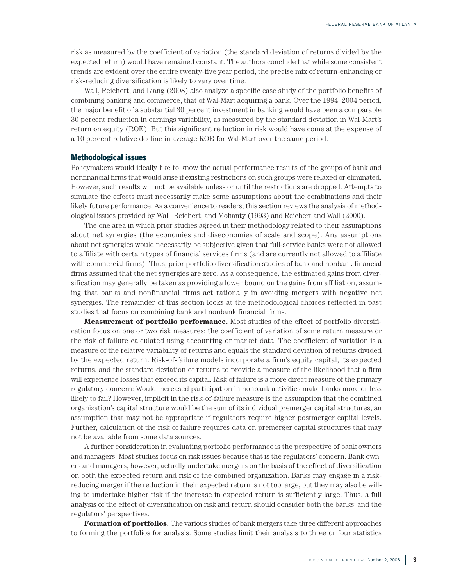risk as measured by the coefficient of variation (the standard deviation of returns divided by the expected return) would have remained constant. The authors conclude that while some consistent trends are evident over the entire twenty-five year period, the precise mix of return-enhancing or risk-reducing diversification is likely to vary over time.

Wall, Reichert, and Liang (2008) also analyze a specific case study of the portfolio benefits of combining banking and commerce, that of Wal-Mart acquiring a bank. Over the 1994–2004 period, the major benefit of a substantial 30 percent investment in banking would have been a comparable 30 percent reduction in earnings variability, as measured by the standard deviation in Wal-Mart's return on equity (ROE). But this significant reduction in risk would have come at the expense of a 10 percent relative decline in average ROE for Wal-Mart over the same period.

#### **Methodological issues**

Policymakers would ideally like to know the actual performance results of the groups of bank and nonfinancial firms that would arise if existing restrictions on such groups were relaxed or eliminated. However, such results will not be available unless or until the restrictions are dropped. Attempts to simulate the effects must necessarily make some assumptions about the combinations and their likely future performance. As a convenience to readers, this section reviews the analysis of methodological issues provided by Wall, Reichert, and Mohanty (1993) and Reichert and Wall (2000).

The one area in which prior studies agreed in their methodology related to their assumptions about net synergies (the economies and diseconomies of scale and scope). Any assumptions about net synergies would necessarily be subjective given that full-service banks were not allowed to affiliate with certain types of financial services firms (and are currently not allowed to affiliate with commercial firms). Thus, prior portfolio diversification studies of bank and nonbank financial firms assumed that the net synergies are zero. As a consequence, the estimated gains from diversification may generally be taken as providing a lower bound on the gains from affiliation, assuming that banks and nonfinancial firms act rationally in avoiding mergers with negative net synergies. The remainder of this section looks at the methodological choices reflected in past studies that focus on combining bank and nonbank financial firms.

**Measurement of portfolio performance.** Most studies of the effect of portfolio diversification focus on one or two risk measures: the coefficient of variation of some return measure or the risk of failure calculated using accounting or market data. The coefficient of variation is a measure of the relative variability of returns and equals the standard deviation of returns divided by the expected return. Risk-of-failure models incorporate a firm's equity capital, its expected returns, and the standard deviation of returns to provide a measure of the likelihood that a firm will experience losses that exceed its capital. Risk of failure is a more direct measure of the primary regulatory concern: Would increased participation in nonbank activities make banks more or less likely to fail? However, implicit in the risk-of-failure measure is the assumption that the combined organization's capital structure would be the sum of its individual premerger capital structures, an assumption that may not be appropriate if regulators require higher postmerger capital levels. Further, calculation of the risk of failure requires data on premerger capital structures that may not be available from some data sources.

A further consideration in evaluating portfolio performance is the perspective of bank owners and managers. Most studies focus on risk issues because that is the regulators' concern. Bank owners and managers, however, actually undertake mergers on the basis of the effect of diversification on both the expected return and risk of the combined organization. Banks may engage in a riskreducing merger if the reduction in their expected return is not too large, but they may also be willing to undertake higher risk if the increase in expected return is sufficiently large. Thus, a full analysis of the effect of diversification on risk and return should consider both the banks' and the regulators' perspectives.

**Formation of portfolios.** The various studies of bank mergers take three different approaches to forming the portfolios for analysis. Some studies limit their analysis to three or four statistics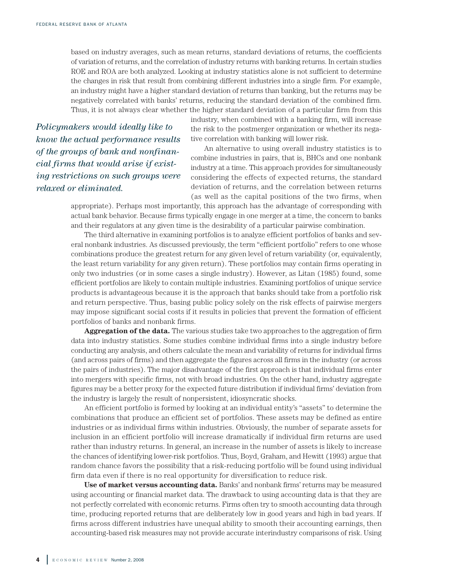based on industry averages, such as mean returns, standard deviations of returns, the coefficients of variation of returns, and the correlation of industry returns with banking returns. In certain studies ROE and ROA are both analyzed. Looking at industry statistics alone is not sufficient to determine the changes in risk that result from combining different industries into a single firm. For example, an industry might have a higher standard deviation of returns than banking, but the returns may be negatively correlated with banks' returns, reducing the standard deviation of the combined firm. Thus, it is not always clear whether the higher standard deviation of a particular firm from this

*Policymakers would ideally like to know the actual performance results of the groups of bank and nonfinancial firms that would arise if existing restrictions on such groups were relaxed or eliminated.*

industry, when combined with a banking firm, will increase the risk to the postmerger organization or whether its negative correlation with banking will lower risk.

An alternative to using overall industry statistics is to combine industries in pairs, that is, BHCs and one nonbank industry at a time. This approach provides for simultaneously considering the effects of expected returns, the standard deviation of returns, and the correlation between returns (as well as the capital positions of the two firms, when

appropriate). Perhaps most importantly, this approach has the advantage of corresponding with actual bank behavior. Because firms typically engage in one merger at a time, the concern to banks and their regulators at any given time is the desirability of a particular pairwise combination.

The third alternative in examining portfolios is to analyze efficient portfolios of banks and several nonbank industries. As discussed previously, the term "efficient portfolio" refers to one whose combinations produce the greatest return for any given level of return variability (or, equivalently, the least return variability for any given return). These portfolios may contain firms operating in only two industries (or in some cases a single industry). However, as Litan (1985) found, some efficient portfolios are likely to contain multiple industries. Examining portfolios of unique service products is advantageous because it is the approach that banks should take from a portfolio risk and return perspective. Thus, basing public policy solely on the risk effects of pairwise mergers may impose significant social costs if it results in policies that prevent the formation of efficient portfolios of banks and nonbank firms.

**Aggregation of the data.** The various studies take two approaches to the aggregation of firm data into industry statistics. Some studies combine individual firms into a single industry before conducting any analysis, and others calculate the mean and variability of returns for individual firms (and across pairs of firms) and then aggregate the figures across all firms in the industry (or across the pairs of industries). The major disadvantage of the first approach is that individual firms enter into mergers with specific firms, not with broad industries. On the other hand, industry aggregate figures may be a better proxy for the expected future distribution if individual firms' deviation from the industry is largely the result of nonpersistent, idiosyncratic shocks.

An efficient portfolio is formed by looking at an individual entity's "assets" to determine the combinations that produce an efficient set of portfolios. These assets may be defined as entire industries or as individual firms within industries. Obviously, the number of separate assets for inclusion in an efficient portfolio will increase dramatically if individual firm returns are used rather than industry returns. In general, an increase in the number of assets is likely to increase the chances of identifying lower-risk portfolios. Thus, Boyd, Graham, and Hewitt (1993) argue that random chance favors the possibility that a risk-reducing portfolio will be found using individual firm data even if there is no real opportunity for diversification to reduce risk.

**Use of market versus accounting data.** Banks' and nonbank firms' returns may be measured using accounting or financial market data. The drawback to using accounting data is that they are not perfectly correlated with economic returns. Firms often try to smooth accounting data through time, producing reported returns that are deliberately low in good years and high in bad years. If firms across different industries have unequal ability to smooth their accounting earnings, then accounting-based risk measures may not provide accurate interindustry comparisons of risk. Using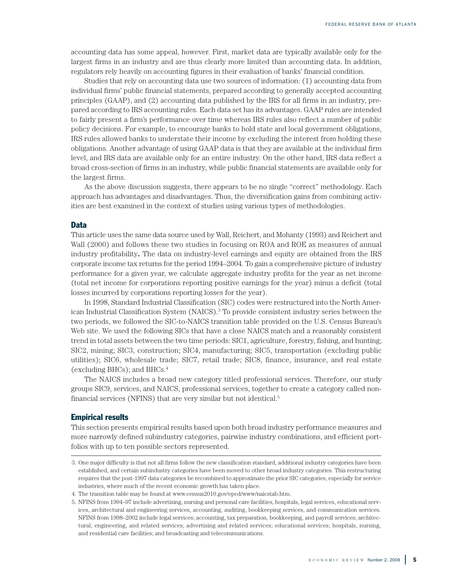accounting data has some appeal, however. First, market data are typically available only for the largest firms in an industry and are thus clearly more limited than accounting data. In addition, regulators rely heavily on accounting figures in their evaluation of banks' financial condition.

Studies that rely on accounting data use two sources of information: (1) accounting data from individual firms' public financial statements, prepared according to generally accepted accounting principles (GAAP), and (2) accounting data published by the IRS for all firms in an industry, prepared according to IRS accounting rules. Each data set has its advantages. GAAP rules are intended to fairly present a firm's performance over time whereas IRS rules also reflect a number of public policy decisions. For example, to encourage banks to hold state and local government obligations, IRS rules allowed banks to understate their income by excluding the interest from holding these obligations. Another advantage of using GAAP data is that they are available at the individual firm level, and IRS data are available only for an entire industry. On the other hand, IRS data reflect a broad cross-section of firms in an industry, while public financial statements are available only for the largest firms.

As the above discussion suggests, there appears to be no single "correct" methodology. Each approach has advantages and disadvantages. Thus, the diversification gains from combining activities are best examined in the context of studies using various types of methodologies.

#### **Data**

This article uses the same data source used by Wall, Reichert, and Mohanty (1993) and Reichert and Wall (2000) and follows these two studies in focusing on ROA and ROE as measures of annual industry profitability**.** The data on industry-level earnings and equity are obtained from the IRS corporate income tax returns for the period 1994–2004. To gain a comprehensive picture of industry performance for a given year, we calculate aggregate industry profits for the year as net income (total net income for corporations reporting positive earnings for the year) minus a deficit (total losses incurred by corporations reporting losses for the year).

In 1998, Standard Industrial Classification (SIC) codes were restructured into the North American Industrial Classification System (NAICS). <sup>3</sup> To provide consistent industry series between the two periods, we followed the SIC-to-NAICS transition table provided on the U.S. Census Bureau's Web site. We used the following SICs that have a close NAICS match and a reasonably consistent trend in total assets between the two time periods: SIC1, agriculture, forestry, fishing, and hunting; SIC2, mining; SIC3, construction; SIC4, manufacturing; SIC5, transportation (excluding public utilities); SIC6, wholesale trade; SIC7, retail trade; SIC8, finance, insurance, and real estate (excluding BHCs); and BHCs.4

The NAICS includes a broad new category titled professional services. Therefore, our study groups SIC9, services, and NAICS, professional services, together to create a category called nonfinancial services (NFINS) that are very similar but not identical. 5

#### **Empirical results**

This section presents empirical results based upon both broad industry performance measures and more narrowly defined subindustry categories, pairwise industry combinations, and efficient portfolios with up to ten possible sectors represented.

<sup>3.</sup> One major difficulty is that not all firms follow the new classification standard, additional industry categories have been established, and certain subindustry categories have been moved to other broad industry categories. This restructuring requires that the post-1997 data categories be recombined to approximate the prior SIC categories, especially for service industries, where much of the recent economic growth has taken place.

<sup>4.</sup> The transition table may be found at www.census2010.gov/epcd/www/naicstab.htm.

<sup>5.</sup> NFINS from 1994–97 include advertising, nursing and personal care facilities, hospitals, legal services, educational services, architectural and engineering services, accounting, auditing, bookkeeping services, and communication services. NFINS from 1998–2002 include legal services; accounting, tax preparation, bookkeeping, and payroll services; architectural, engineering, and related services; advertising and related services; educational services; hospitals, nursing, and residential care facilities; and broadcasting and telecommunications.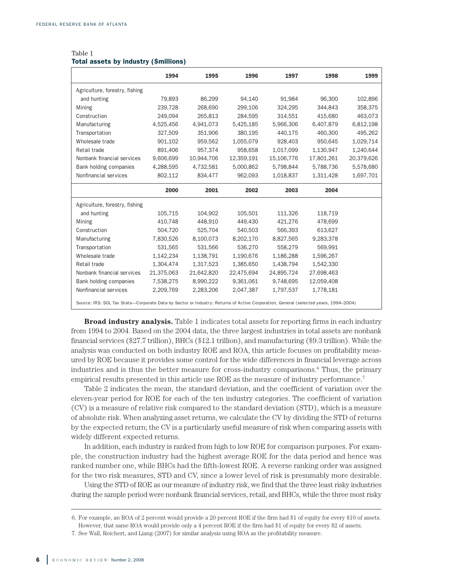|                                                                                                                                     | 1994       | 1995       | 1996       | 1997       | 1998       | 1999       |
|-------------------------------------------------------------------------------------------------------------------------------------|------------|------------|------------|------------|------------|------------|
| Agriculture, forestry, fishing                                                                                                      |            |            |            |            |            |            |
| and hunting                                                                                                                         | 79,893     | 86,299     | 94,140     | 91,984     | 96,300     | 102,896    |
| Mining                                                                                                                              | 239,728    | 268,690    | 299,106    | 324,295    | 344,843    | 358,375    |
| Construction                                                                                                                        | 249,094    | 265,813    | 284,595    | 314,551    | 415,680    | 463,073    |
| Manufacturing                                                                                                                       | 4,525,456  | 4,941,073  | 5,425,185  | 5,966,306  | 6,407,879  | 6,812,198  |
| Transportation                                                                                                                      | 327,509    | 351,906    | 380,195    | 440.175    | 460,300    | 495,262    |
| Wholesale trade                                                                                                                     | 901,102    | 959,562    | 1,055,079  | 928,403    | 950,645    | 1,029,714  |
| Retail trade                                                                                                                        | 891,406    | 957,374    | 958,658    | 1,017,099  | 1,130,947  | 1,240,644  |
| Nonbank financial services                                                                                                          | 9,606,699  | 10,944,706 | 12,359,191 | 15,106,776 | 17,801,261 | 20,379,626 |
| Bank holding companies                                                                                                              | 4,288,595  | 4,732,581  | 5,000,862  | 5,798,844  | 5,788,736  | 5,578,680  |
| Nonfinancial services                                                                                                               | 802,112    | 834,477    | 962,093    | 1,018,837  | 1,311,428  | 1,697,701  |
|                                                                                                                                     | 2000       | 2001       | 2002       | 2003       | 2004       |            |
| Agriculture, forestry, fishing                                                                                                      |            |            |            |            |            |            |
| and hunting                                                                                                                         | 105,715    | 104,902    | 105,501    | 111,326    | 118,719    |            |
| Mining                                                                                                                              | 410,748    | 448,910    | 449,430    | 421,276    | 478,699    |            |
| Construction                                                                                                                        | 504,720    | 525,704    | 540,503    | 566,393    | 613,627    |            |
| Manufacturing                                                                                                                       | 7,830,526  | 8,100,073  | 8,202,170  | 8,827,565  | 9,283,378  |            |
| Transportation                                                                                                                      | 531,565    | 531,566    | 536,270    | 558,279    | 569,991    |            |
| Wholesale trade                                                                                                                     | 1,142,234  | 1,138,791  | 1,190,676  | 1,186,288  | 1,596,267  |            |
| Retail trade                                                                                                                        | 1,304,474  | 1,317,523  | 1,385,650  | 1,438,794  | 1,542,330  |            |
| Nonbank financial services                                                                                                          | 21,375,063 | 21,642,820 | 22,475,694 | 24,895,724 | 27,698,463 |            |
| Bank holding companies                                                                                                              | 7,538,275  | 8,990,222  | 9,361,061  | 9,748,695  | 12,059,408 |            |
| Nonfinancial services                                                                                                               | 2,209,769  | 2,283,206  | 2,047,387  | 1,797,537  | 1,778,181  |            |
| Source: IRS: SOL Tax Stats-Corporate Data by Sector or Industry: Returns of Active Corporation, General (selected years, 1994-2004) |            |            |            |            |            |            |

#### Table 1 **Total assets by industry (\$millions)**

**Broad industry analysis.** Table 1 indicates total assets for reporting firms in each industry from 1994 to 2004. Based on the 2004 data, the three largest industries in total assets are nonbank financial services (\$27.7 trillion), BHCs (\$12.1 trillion), and manufacturing (\$9.3 trillion). While the analysis was conducted on both industry ROE and ROA, this article focuses on profitability measured by ROE because it provides some control for the wide differences in financial leverage across industries and is thus the better measure for cross-industry comparisons. <sup>6</sup> Thus, the primary empirical results presented in this article use ROE as the measure of industry performance.<sup>7</sup>

Table 2 indicates the mean, the standard deviation, and the coefficient of variation over the eleven-year period for ROE for each of the ten industry categories. The coefficient of variation (CV) is a measure of relative risk compared to the standard deviation (STD), which is a measure of absolute risk. When analyzing asset returns, we calculate the CV by dividing the STD of returns by the expected return; the CV is a particularly useful measure of risk when comparing assets with widely different expected returns.

In addition, each industry is ranked from high to low ROE for comparison purposes. For example, the construction industry had the highest average ROE for the data period and hence was ranked number one, while BHCs had the fifth-lowest ROE. A reverse ranking order was assigned for the two risk measures, STD and CV, since a lower level of risk is presumably more desirable.

Using the STD of ROE as our measure of industry risk, we find that the three least risky industries during the sample period were nonbank financial services, retail, and BHCs, while the three most risky

<sup>6.</sup> For example, an ROA of 2 percent would provide a 20 percent ROE if the firm had \$1 of equity for every \$10 of assets. However, that same ROA would provide only a 4 percent ROE if the firm had \$1 of equity for every \$2 of assets.

<sup>7.</sup> See Wall, Reichert, and Liang (2007) for similar analysis using ROA as the profitability measure.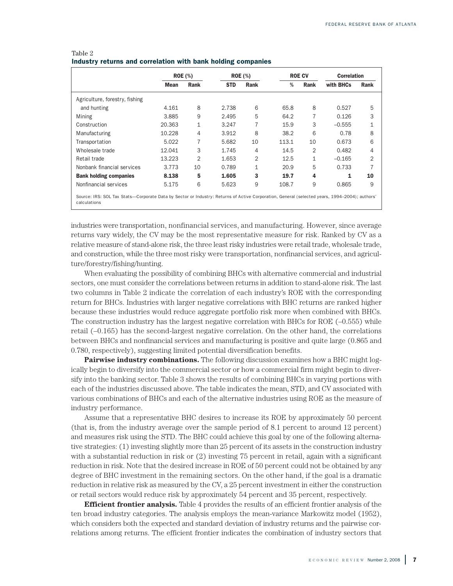|                                | <b>ROE</b> (%) |                | <b>ROE</b> (%) |                | <b>ROE CV</b> |                | <b>Correlation</b> |      |
|--------------------------------|----------------|----------------|----------------|----------------|---------------|----------------|--------------------|------|
|                                | <b>Mean</b>    | Rank           | <b>STD</b>     | Rank           | %             | Rank           | with BHCs          | Rank |
| Agriculture, forestry, fishing |                |                |                |                |               |                |                    |      |
| and hunting                    | 4.161          | 8              | 2.738          | 6              | 65.8          | 8              | 0.527              | 5    |
| Mining                         | 3.885          | 9              | 2.495          | 5              | 64.2          | 7              | 0.126              | 3    |
| Construction                   | 20.363         | 1              | 3.247          | 7              | 15.9          | 3              | $-0.555$           | 1    |
| Manufacturing                  | 10.228         | 4              | 3.912          | 8              | 38.2          | 6              | 0.78               | 8    |
| Transportation                 | 5.022          | 7              | 5.682          | 10             | 113.1         | 10             | 0.673              | 6    |
| Wholesale trade                | 12.041         | 3              | 1.745          | 4              | 14.5          | $\overline{2}$ | 0.482              | 4    |
| Retail trade                   | 13.223         | $\overline{2}$ | 1.653          | $\overline{2}$ | 12.5          | 1              | $-0.165$           | 2    |
| Nonbank financial services     | 3.773          | 10             | 0.789          | 1              | 20.9          | 5              | 0.733              | 7    |
| <b>Bank holding companies</b>  | 8.138          | 5              | 1.605          | 3              | 19.7          | 4              |                    | 10   |
| Nonfinancial services          | 5.175          | 6              | 5.623          | 9              | 108.7         | 9              | 0.865              | 9    |

#### Table 2 **Industry returns and correlation with bank holding companies**

industries were transportation, nonfinancial services, and manufacturing. However, since average returns vary widely, the CV may be the most representative measure for risk. Ranked by CV as a relative measure of stand-alone risk, the three leastrisky industries were retail trade, wholesale trade, and construction, while the three most risky were transportation, nonfinancial services, and agriculture/forestry/fishing/hunting.

When evaluating the possibility of combining BHCs with alternative commercial and industrial sectors, one must consider the correlations between returns in addition to stand-alone risk. The last two columns in Table 2 indicate the correlation of each industry's ROE with the corresponding return for BHCs. Industries with larger negative correlations with BHC returns are ranked higher because these industries would reduce aggregate portfolio risk more when combined with BHCs. The construction industry has the largest negative correlation with BHCs for ROE  $(-0.555)$  while retail (–0.165) has the second-largest negative correlation. On the other hand, the correlations between BHCs and nonfinancial services and manufacturing is positive and quite large (0.865 and 0.780, respectively), suggesting limited potential diversification benefits.

**Pairwise industry combinations.** The following discussion examines how a BHC might logically begin to diversify into the commercial sector or how a commercial firm might begin to diversify into the banking sector. Table 3 shows the results of combining BHCs in varying portions with each of the industries discussed above. The table indicates the mean, STD, and CV associated with various combinations of BHCs and each of the alternative industries using ROE as the measure of industry performance.

Assume that a representative BHC desires to increase its ROE by approximately 50 percent (that is, from the industry average over the sample period of 8.1 percent to around 12 percent) and measures risk using the STD. The BHC could achieve this goal by one of the following alternative strategies: (1) investing slightly more than 25 percent of its assets in the construction industry with a substantial reduction in risk or (2) investing 75 percent in retail, again with a significant reduction in risk. Note that the desired increase in ROE of 50 percent could not be obtained by any degree of BHC investment in the remaining sectors. On the other hand, if the goal is a dramatic reduction in relative risk as measured by the CV, a 25 percent investment in either the construction or retail sectors would reduce risk by approximately 54 percent and 35 percent, respectively.

**Efficient frontier analysis.** Table 4 provides the results of an efficient frontier analysis of the ten broad industry categories. The analysis employs the mean-variance Markowitz model (1952), which considers both the expected and standard deviation of industry returns and the pairwise correlations among returns. The efficient frontier indicates the combination of industry sectors that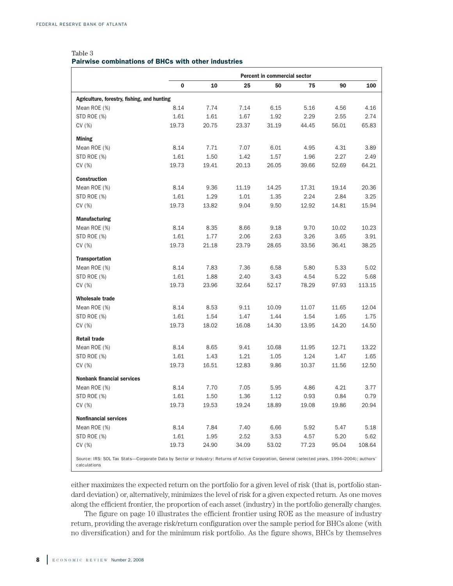#### Table 3 **Pairwise combinations of BHCs with other industries**

|                                                                                                                                                               | Percent in commercial sector |       |       |       |       |       |        |
|---------------------------------------------------------------------------------------------------------------------------------------------------------------|------------------------------|-------|-------|-------|-------|-------|--------|
|                                                                                                                                                               | 0                            | 10    | 25    | 50    | 75    | 90    | 100    |
| Agriculture, forestry, fishing, and hunting                                                                                                                   |                              |       |       |       |       |       |        |
| Mean ROE (%)                                                                                                                                                  | 8.14                         | 7.74  | 7.14  | 6.15  | 5.16  | 4.56  | 4.16   |
| STD ROE (%)                                                                                                                                                   | 1.61                         | 1.61  | 1.67  | 1.92  | 2.29  | 2.55  | 2.74   |
| CV(%)                                                                                                                                                         | 19.73                        | 20.75 | 23.37 | 31.19 | 44.45 | 56.01 | 65.83  |
| <b>Mining</b>                                                                                                                                                 |                              |       |       |       |       |       |        |
| Mean ROE (%)                                                                                                                                                  | 8.14                         | 7.71  | 7.07  | 6.01  | 4.95  | 4.31  | 3.89   |
| STD ROE (%)                                                                                                                                                   | 1.61                         | 1.50  | 1.42  | 1.57  | 1.96  | 2.27  | 2.49   |
| CV(%)                                                                                                                                                         | 19.73                        | 19.41 | 20.13 | 26.05 | 39.66 | 52.69 | 64.21  |
| <b>Construction</b>                                                                                                                                           |                              |       |       |       |       |       |        |
| Mean ROE (%)                                                                                                                                                  | 8.14                         | 9.36  | 11.19 | 14.25 | 17.31 | 19.14 | 20.36  |
| STD ROE (%)                                                                                                                                                   | 1.61                         | 1.29  | 1.01  | 1.35  | 2.24  | 2.84  | 3.25   |
| CV(%)                                                                                                                                                         | 19.73                        | 13.82 | 9.04  | 9.50  | 12.92 | 14.81 | 15.94  |
| <b>Manufacturing</b>                                                                                                                                          |                              |       |       |       |       |       |        |
| Mean ROE (%)                                                                                                                                                  | 8.14                         | 8.35  | 8.66  | 9.18  | 9.70  | 10.02 | 10.23  |
| STD ROE (%)                                                                                                                                                   | 1.61                         | 1.77  | 2.06  | 2.63  | 3.26  | 3.65  | 3.91   |
| CV(%)                                                                                                                                                         | 19.73                        | 21.18 | 23.79 | 28.65 | 33.56 | 36.41 | 38.25  |
| <b>Transportation</b>                                                                                                                                         |                              |       |       |       |       |       |        |
| Mean ROE (%)                                                                                                                                                  | 8.14                         | 7.83  | 7.36  | 6.58  | 5.80  | 5.33  | 5.02   |
| STD ROE (%)                                                                                                                                                   | 1.61                         | 1.88  | 2.40  | 3.43  | 4.54  | 5.22  | 5.68   |
| CV(%)                                                                                                                                                         | 19.73                        | 23.96 | 32.64 | 52.17 | 78.29 | 97.93 | 113.15 |
| <b>Wholesale trade</b>                                                                                                                                        |                              |       |       |       |       |       |        |
| Mean ROE (%)                                                                                                                                                  | 8.14                         | 8.53  | 9.11  | 10.09 | 11.07 | 11.65 | 12.04  |
| STD ROE (%)                                                                                                                                                   | 1.61                         | 1.54  | 1.47  | 1.44  | 1.54  | 1.65  | 1.75   |
| CV(%)                                                                                                                                                         | 19.73                        | 18.02 | 16.08 | 14.30 | 13.95 | 14.20 | 14.50  |
| <b>Retail trade</b>                                                                                                                                           |                              |       |       |       |       |       |        |
| Mean ROE (%)                                                                                                                                                  | 8.14                         | 8.65  | 9.41  | 10.68 | 11.95 | 12.71 | 13.22  |
| STD ROE (%)                                                                                                                                                   | 1.61                         | 1.43  | 1.21  | 1.05  | 1.24  | 1.47  | 1.65   |
| CV(%)                                                                                                                                                         | 19.73                        | 16.51 | 12.83 | 9.86  | 10.37 | 11.56 | 12.50  |
| <b>Nonbank financial services</b>                                                                                                                             |                              |       |       |       |       |       |        |
| Mean ROE (%)                                                                                                                                                  | 8.14                         | 7.70  | 7.05  | 5.95  | 4.86  | 4.21  | 3.77   |
| STD ROE (%)                                                                                                                                                   | 1.61                         | 1.50  | 1.36  | 1.12  | 0.93  | 0.84  | 0.79   |
| CV(%)                                                                                                                                                         | 19.73                        | 19.53 | 19.24 | 18.89 | 19.08 | 19.86 | 20.94  |
| <b>Nonfinancial services</b>                                                                                                                                  |                              |       |       |       |       |       |        |
| Mean ROE (%)                                                                                                                                                  | 8.14                         | 7.84  | 7.40  | 6.66  | 5.92  | 5.47  | 5.18   |
| STD ROE (%)                                                                                                                                                   | 1.61                         | 1.95  | 2.52  | 3.53  | 4.57  | 5.20  | 5.62   |
| CV(%)                                                                                                                                                         | 19.73                        | 24.90 | 34.09 | 53.02 | 77.23 | 95.04 | 108.64 |
| Source: IRS: SOL Tax Stats-Corporate Data by Sector or Industry: Returns of Active Corporation, General (selected years, 1994-2004); authors'<br>calculations |                              |       |       |       |       |       |        |

either maximizes the expected return on the portfolio for a given level of risk (that is, portfolio standard deviation) or, alternatively, minimizes the level of risk for a given expected return. As one moves along the efficient frontier, the proportion of each asset (industry) in the portfolio generally changes.

The figure on page 10 illustrates the efficient frontier using ROE as the measure of industry return, providing the average risk/return configuration over the sample period for BHCs alone (with no diversification) and for the minimum risk portfolio. As the figure shows, BHCs by themselves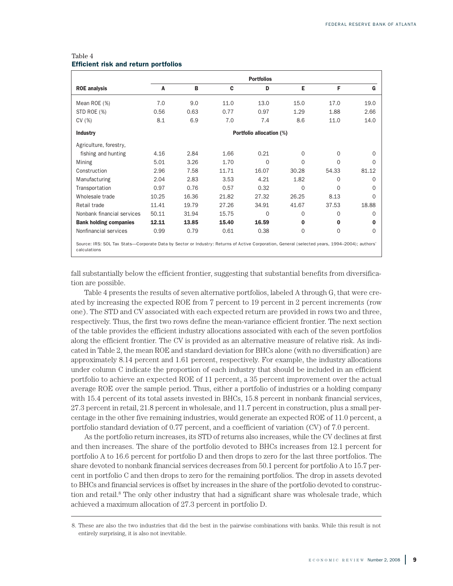| C<br>11.0 | D<br>13.0                | Е        | F           | G                                                                                                                                             |
|-----------|--------------------------|----------|-------------|-----------------------------------------------------------------------------------------------------------------------------------------------|
|           |                          |          |             |                                                                                                                                               |
|           |                          | 15.0     | 17.0        | 19.0                                                                                                                                          |
| 0.77      | 0.97                     | 1.29     | 1.88        | 2.66                                                                                                                                          |
| 7.0       | 7.4                      | 8.6      | 11.0        | 14.0                                                                                                                                          |
|           | Portfolio allocation (%) |          |             |                                                                                                                                               |
|           |                          |          |             |                                                                                                                                               |
| 1.66      | 0.21                     | 0        | $\Omega$    | 0                                                                                                                                             |
| 1.70      | $\Omega$                 | $\Omega$ | $\Omega$    | <sup>0</sup>                                                                                                                                  |
| 11.71     | 16.07                    | 30.28    | 54.33       | 81.12                                                                                                                                         |
| 3.53      | 4.21                     | 1.82     | $\Omega$    | 0                                                                                                                                             |
| 0.57      | 0.32                     | $\Omega$ | $\Omega$    | 0                                                                                                                                             |
| 21.82     | 27.32                    | 26.25    | 8.13        | 0                                                                                                                                             |
| 27.26     | 34.91                    | 41.67    | 37.53       | 18.88                                                                                                                                         |
| 15.75     | $\Omega$                 | 0        | $\Omega$    | 0                                                                                                                                             |
| 15.40     | 16.59                    | 0        | $\bf{0}$    | 0                                                                                                                                             |
| 0.61      | 0.38                     | $\Omega$ | $\mathbf 0$ | $\Omega$                                                                                                                                      |
|           |                          |          |             | Source: IRS: SOL Tax Stats-Corporate Data by Sector or Industry: Returns of Active Corporation, General (selected years, 1994-2004); authors' |

#### Table 4 **Efficient risk and return portfolios**

fall substantially below the efficient frontier, suggesting that substantial benefits from diversification are possible.

Table 4 presents the results of seven alternative portfolios, labeled A through G, that were created by increasing the expected ROE from 7 percent to 19 percent in 2 percent increments (row one). The STD and CV associated with each expected return are provided in rows two and three, respectively. Thus, the first two rows define the mean-variance efficient frontier. The next section of the table provides the efficient industry allocations associated with each of the seven portfolios along the efficient frontier. The CV is provided as an alternative measure of relative risk. As indicated in Table 2, the mean ROE and standard deviation for BHCs alone (with no diversification) are approximately 8.14 percent and 1.61 percent, respectively. For example, the industry allocations under column C indicate the proportion of each industry that should be included in an efficient portfolio to achieve an expected ROE of 11 percent, a 35 percent improvement over the actual average ROE over the sample period. Thus, either a portfolio of industries or a holding company with 15.4 percent of its total assets invested in BHCs, 15.8 percent in nonbank financial services, 27.3 percent in retail, 21.8 percent in wholesale, and 11.7 percent in construction, plus a small percentage in the other five remaining industries, would generate an expected ROE of 11.0 percent, a portfolio standard deviation of 0.77 percent, and a coefficient of variation (CV) of 7.0 percent.

As the portfolio return increases, its STD of returns also increases, while the CV declines at first and then increases. The share of the portfolio devoted to BHCs increases from 12.1 percent for portfolio A to 16.6 percent for portfolio D and then drops to zero for the last three portfolios. The share devoted to nonbank financial services decreases from 50.1 percent for portfolio A to 15.7 percent in portfolio C and then drops to zero for the remaining portfolios. The drop in assets devoted to BHCs and financial services is offset by increases in the share of the portfolio devoted to construction and retail. <sup>8</sup> The only other industry that had a significant share was wholesale trade, which achieved a maximum allocation of 27.3 percent in portfolio D.

<sup>8.</sup> These are also the two industries that did the best in the pairwise combinations with banks. While this result is not entirely surprising, it is also not inevitable.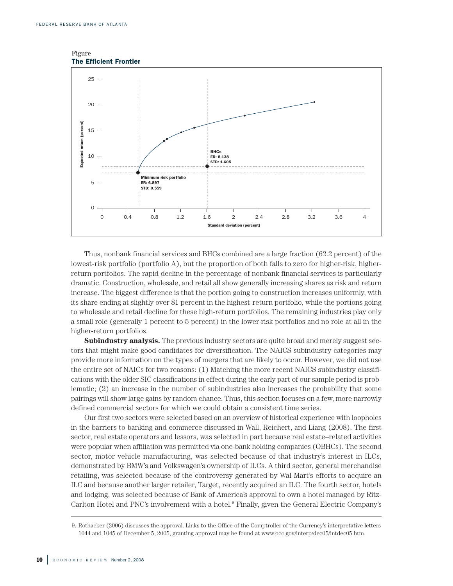



Thus, nonbank financial services and BHCs combined are a large fraction (62.2 percent) of the lowest-risk portfolio (portfolio A), but the proportion of both falls to zero for higher-risk, higherreturn portfolios. The rapid decline in the percentage of nonbank financial services is particularly dramatic. Construction, wholesale, and retail all show generally increasing shares as risk and return increase. The biggest difference is that the portion going to construction increases uniformly, with its share ending at slightly over 81 percent in the highest-return portfolio, while the portions going to wholesale and retail decline for these high-return portfolios. The remaining industries play only a small role (generally 1 percent to 5 percent) in the lower-risk portfolios and no role at all in the higher-return portfolios.

**Subindustry analysis.** The previous industry sectors are quite broad and merely suggest sectors that might make good candidates for diversification. The NAICS subindustry categories may provide more information on the types of mergers that are likely to occur. However, we did not use the entire set of NAICs for two reasons: (1) Matching the more recent NAICS subindustry classifications with the older SIC classifications in effect during the early part of our sample period is problematic; (2) an increase in the number of subindustries also increases the probability that some pairings will show large gains by random chance. Thus, this section focuses on a few, more narrowly defined commercial sectors for which we could obtain a consistent time series.

Our first two sectors were selected based on an overview of historical experience with loopholes in the barriers to banking and commerce discussed in Wall, Reichert, and Liang (2008). The first sector, real estate operators and lessors, was selected in part because real estate–related activities were popular when affiliation was permitted via one-bank holding companies (OBHCs). The second sector, motor vehicle manufacturing, was selected because of that industry's interest in ILCs, demonstrated by BMW's and Volkswagen's ownership of ILCs. A third sector, general merchandise retailing, was selected because of the controversy generated by Wal-Mart's efforts to acquire an ILC and because another larger retailer, Target, recently acquired an ILC. The fourth sector, hotels and lodging, was selected because of Bank of America's approval to own a hotel managed by Ritz-Carlton Hotel and PNC's involvement with a hotel. <sup>9</sup> Finally, given the General Electric Company's

<sup>9.</sup> Rothacker (2006) discusses the approval. Links to the Office of the Comptroller of the Currency's interpretative letters 1044 and 1045 of December 5, 2005, granting approval may be found at www.occ.gov/interp/dec05/intdec05.htm.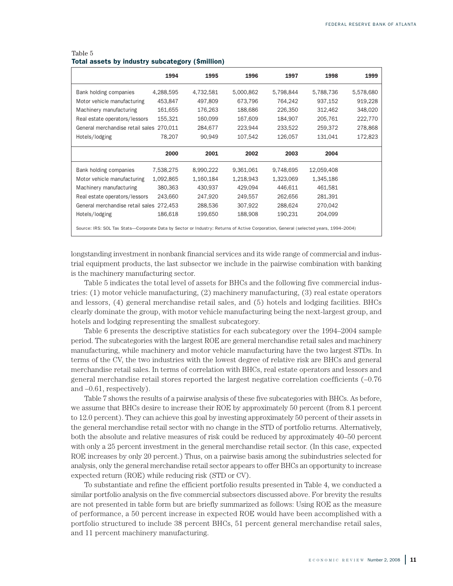|                                                                                                                                     | 1994      | 1995      | 1996      | 1997      | 1998       | 1999      |
|-------------------------------------------------------------------------------------------------------------------------------------|-----------|-----------|-----------|-----------|------------|-----------|
| Bank holding companies                                                                                                              | 4,288,595 | 4,732,581 | 5,000,862 | 5,798,844 | 5,788,736  | 5,578,680 |
| Motor vehicle manufacturing                                                                                                         | 453,847   | 497,809   | 673,796   | 764,242   | 937,152    | 919,228   |
| Machinery manufacturing                                                                                                             | 161,655   | 176,263   | 188,686   | 226,350   | 312,462    | 348,020   |
| Real estate operators/lessors                                                                                                       | 155,321   | 160,099   | 167,609   | 184,907   | 205,761    | 222,770   |
| General merchandise retail sales 270,011                                                                                            |           | 284,677   | 223,944   | 233,522   | 259,372    | 278,868   |
| Hotels/lodging                                                                                                                      | 78,207    | 90,949    | 107,542   | 126,057   | 131,041    | 172,823   |
|                                                                                                                                     | 2000      | 2001      | 2002      | 2003      | 2004       |           |
| Bank holding companies                                                                                                              | 7,538,275 | 8,990,222 | 9,361,061 | 9,748,695 | 12,059,408 |           |
| Motor vehicle manufacturing                                                                                                         | 1,092,865 | 1,160,184 | 1,218,943 | 1,323,069 | 1,345,186  |           |
| Machinery manufacturing                                                                                                             | 380,363   | 430,937   | 429,094   | 446,611   | 461,581    |           |
| Real estate operators/lessors                                                                                                       | 243.660   | 247,920   | 249.557   | 262,656   | 281,391    |           |
| General merchandise retail sales 272.453                                                                                            |           | 288,536   | 307,922   | 288,624   | 270,042    |           |
| Hotels/lodging                                                                                                                      | 186,618   | 199,650   | 188.908   | 190.231   | 204.099    |           |
| Source: IRS: SOL Tax Stats-Corporate Data by Sector or Industry: Returns of Active Corporation, General (selected years, 1994-2004) |           |           |           |           |            |           |

#### Table 5 **Total assets by industry subcategory (\$million)**

longstanding investment in nonbank financial services and its wide range of commercial and industrial equipment products, the last subsector we include in the pairwise combination with banking is the machinery manufacturing sector.

Table 5 indicates the total level of assets for BHCs and the following five commercial industries: (1) motor vehicle manufacturing, (2) machinery manufacturing, (3) real estate operators and lessors, (4) general merchandise retail sales, and (5) hotels and lodging facilities. BHCs clearly dominate the group, with motor vehicle manufacturing being the next-largest group, and hotels and lodging representing the smallest subcategory.

Table 6 presents the descriptive statistics for each subcategory over the 1994–2004 sample period. The subcategories with the largest ROE are general merchandise retail sales and machinery manufacturing, while machinery and motor vehicle manufacturing have the two largest STDs. In terms of the CV, the two industries with the lowest degree of relative risk are BHCs and general merchandise retail sales. In terms of correlation with BHCs, real estate operators and lessors and general merchandise retail stores reported the largest negative correlation coefficients (–0.76 and –0.61, respectively).

Table 7 shows the results of a pairwise analysis of these five subcategories with BHCs. As before, we assume that BHCs desire to increase their ROE by approximately 50 percent (from 8.1 percent to 12.0 percent). They can achieve this goal by investing approximately 50 percent of their assets in the general merchandise retail sector with no change in the STD of portfolio returns. Alternatively, both the absolute and relative measures of risk could be reduced by approximately 40–50 percent with only a 25 percent investment in the general merchandise retail sector. (In this case, expected ROE increases by only 20 percent.) Thus, on a pairwise basis among the subindustries selected for analysis, only the general merchandise retail sector appears to offer BHCs an opportunity to increase expected return (ROE) while reducing risk (STD or CV).

To substantiate and refine the efficient portfolio results presented in Table 4, we conducted a similar portfolio analysis on the five commercial subsectors discussed above. For brevity the results are not presented in table form but are briefly summarized as follows: Using ROE as the measure of performance, a 50 percent increase in expected ROE would have been accomplished with a portfolio structured to include 38 percent BHCs, 51 percent general merchandise retail sales, and 11 percent machinery manufacturing.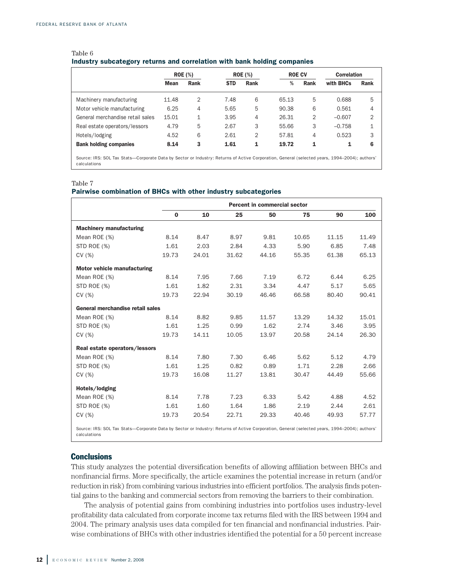|                                  |             | <b>ROE</b> (%) |            | <b>ROE</b> (%) |       | <b>ROE CV</b> |           | <b>Correlation</b> |
|----------------------------------|-------------|----------------|------------|----------------|-------|---------------|-----------|--------------------|
|                                  | <b>Mean</b> | Rank           | <b>STD</b> | Rank           | %     | <b>Rank</b>   | with BHCs | Rank               |
| Machinery manufacturing          | 11.48       | $\overline{2}$ | 7.48       | 6              | 65.13 | 5             | 0.688     | 5                  |
| Motor vehicle manufacturing      | 6.25        | 4              | 5.65       | 5              | 90.38 | 6             | 0.561     | 4                  |
| General merchandise retail sales | 15.01       | 1              | 3.95       | 4              | 26.31 | 2             | $-0.607$  | $\mathfrak{D}$     |
| Real estate operators/lessors    | 4.79        | 5              | 2.67       | 3              | 55.66 | 3             | $-0.758$  |                    |
| Hotels/lodging                   | 4.52        | 6              | 2.61       | 2              | 57.81 | 4             | 0.523     | 3                  |
| <b>Bank holding companies</b>    | 8.14        | 3              | 1.61       | 1              | 19.72 | 1             | 1         | 6                  |
|                                  |             |                |            |                |       |               |           |                    |

#### Table 6 **Industry subcategory returns and correlation with bank holding companies**

Source: IRS: SOL Tax Stats—Corporate Data by Sector or Industry: Returns of Active Corporation, General (selected years, 1994–2004); authors' calculations

#### Table 7

#### **Pairwise combination of BHCs with other industry subcategories**

|                                                                                                                                                                |          | Percent in commercial sector |       |       |       |       |       |  |  |  |
|----------------------------------------------------------------------------------------------------------------------------------------------------------------|----------|------------------------------|-------|-------|-------|-------|-------|--|--|--|
|                                                                                                                                                                | $\bf{0}$ | 10                           | 25    | 50    | 75    | 90    | 100   |  |  |  |
| <b>Machinery manufacturing</b>                                                                                                                                 |          |                              |       |       |       |       |       |  |  |  |
| Mean ROE (%)                                                                                                                                                   | 8.14     | 8.47                         | 8.97  | 9.81  | 10.65 | 11.15 | 11.49 |  |  |  |
| STD ROE (%)                                                                                                                                                    | 1.61     | 2.03                         | 2.84  | 4.33  | 5.90  | 6.85  | 7.48  |  |  |  |
| CV(%)                                                                                                                                                          | 19.73    | 24.01                        | 31.62 | 44.16 | 55.35 | 61.38 | 65.13 |  |  |  |
| Motor vehicle manufacturing                                                                                                                                    |          |                              |       |       |       |       |       |  |  |  |
| Mean ROE (%)                                                                                                                                                   | 8.14     | 7.95                         | 7.66  | 7.19  | 6.72  | 6.44  | 6.25  |  |  |  |
| STD ROE (%)                                                                                                                                                    | 1.61     | 1.82                         | 2.31  | 3.34  | 4.47  | 5.17  | 5.65  |  |  |  |
| CV(%)                                                                                                                                                          | 19.73    | 22.94                        | 30.19 | 46.46 | 66.58 | 80.40 | 90.41 |  |  |  |
| General merchandise retail sales                                                                                                                               |          |                              |       |       |       |       |       |  |  |  |
| Mean ROE (%)                                                                                                                                                   | 8.14     | 8.82                         | 9.85  | 11.57 | 13.29 | 14.32 | 15.01 |  |  |  |
| STD ROE (%)                                                                                                                                                    | 1.61     | 1.25                         | 0.99  | 1.62  | 2.74  | 3.46  | 3.95  |  |  |  |
| CV(%)                                                                                                                                                          | 19.73    | 14.11                        | 10.05 | 13.97 | 20.58 | 24.14 | 26.30 |  |  |  |
| Real estate operators/lessors                                                                                                                                  |          |                              |       |       |       |       |       |  |  |  |
| Mean ROE (%)                                                                                                                                                   | 8.14     | 7.80                         | 7.30  | 6.46  | 5.62  | 5.12  | 4.79  |  |  |  |
| STD ROE (%)                                                                                                                                                    | 1.61     | 1.25                         | 0.82  | 0.89  | 1.71  | 2.28  | 2.66  |  |  |  |
| CV(%)                                                                                                                                                          | 19.73    | 16.08                        | 11.27 | 13.81 | 30.47 | 44.49 | 55.66 |  |  |  |
| Hotels/lodging                                                                                                                                                 |          |                              |       |       |       |       |       |  |  |  |
| Mean ROE (%)                                                                                                                                                   | 8.14     | 7.78                         | 7.23  | 6.33  | 5.42  | 4.88  | 4.52  |  |  |  |
| STD ROE (%)                                                                                                                                                    | 1.61     | 1.60                         | 1.64  | 1.86  | 2.19  | 2.44  | 2.61  |  |  |  |
| CV(%)                                                                                                                                                          | 19.73    | 20.54                        | 22.71 | 29.33 | 40.46 | 49.93 | 57.77 |  |  |  |
| Source: IRS: SOL Tax Stats--Corporate Data by Sector or Industry: Returns of Active Corporation, General (selected years, 1994-2004); authors'<br>calculations |          |                              |       |       |       |       |       |  |  |  |

#### **Conclusions**

This study analyzes the potential diversification benefits of allowing affiliation between BHCs and nonfinancial firms. More specifically, the article examines the potential increase in return (and/or reduction in risk) from combining various industries into efficient portfolios. The analysis finds potential gains to the banking and commercial sectors from removing the barriers to their combination.

The analysis of potential gains from combining industries into portfolios uses industry-level profitability data calculated from corporate income tax returns filed with the IRS between 1994 and 2004. The primary analysis uses data compiled for ten financial and nonfinancial industries. Pairwise combinations of BHCs with other industries identified the potential for a 50 percent increase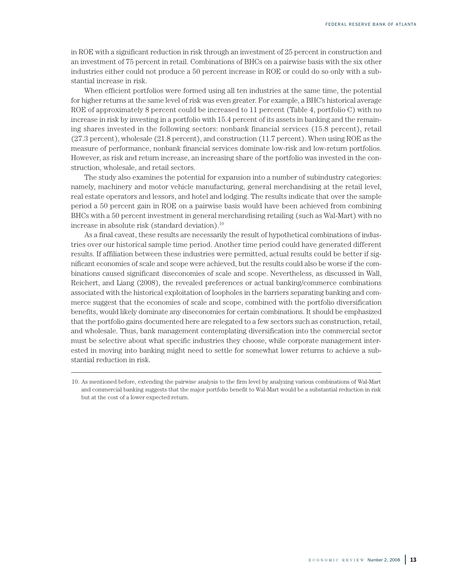in ROE with a significant reduction in risk through an investment of 25 percent in construction and an investment of 75 percent in retail. Combinations of BHCs on a pairwise basis with the six other industries either could not produce a 50 percent increase in ROE or could do so only with a substantial increase in risk.

When efficient portfolios were formed using all ten industries at the same time, the potential for higher returns at the same level of risk was even greater. For example, a BHC's historical average ROE of approximately 8 percent could be increased to 11 percent (Table 4, portfolio C) with no increase in risk by investing in a portfolio with 15.4 percent of its assets in banking and the remaining shares invested in the following sectors: nonbank financial services (15.8 percent), retail (27.3 percent), wholesale (21.8 percent), and construction (11.7 percent). When using ROE as the measure of performance, nonbank financial services dominate low-risk and low-return portfolios. However, as risk and return increase, an increasing share of the portfolio was invested in the construction, wholesale, and retail sectors.

The study also examines the potential for expansion into a number of subindustry categories: namely, machinery and motor vehicle manufacturing, general merchandising at the retail level, real estate operators and lessors, and hotel and lodging. The results indicate that over the sample period a 50 percent gain in ROE on a pairwise basis would have been achieved from combining BHCs with a 50 percent investment in general merchandising retailing (such as Wal-Mart) with no increase in absolute risk (standard deviation). 10

As a final caveat, these results are necessarily the result of hypothetical combinations of industries over our historical sample time period. Another time period could have generated different results. If affiliation between these industries were permitted, actual results could be better if significant economies of scale and scope were achieved, but the results could also be worse if the combinations caused significant diseconomies of scale and scope. Nevertheless, as discussed in Wall, Reichert, and Liang (2008), the revealed preferences or actual banking/commerce combinations associated with the historical exploitation of loopholes in the barriers separating banking and commerce suggest that the economies of scale and scope, combined with the portfolio diversification benefits, would likely dominate any diseconomies for certain combinations. It should be emphasized that the portfolio gains documented here are relegated to a few sectors such as construction, retail, and wholesale. Thus, bank management contemplating diversification into the commercial sector must be selective about what specific industries they choose, while corporate management interested in moving into banking might need to settle for somewhat lower returns to achieve a substantial reduction in risk.

<sup>10.</sup> As mentioned before, extending the pairwise analysis to the firm level by analyzing various combinations of Wal-Mart and commercial banking suggests that the major portfolio benefit to Wal-Mart would be a substantial reduction in risk but at the cost of a lower expected return.